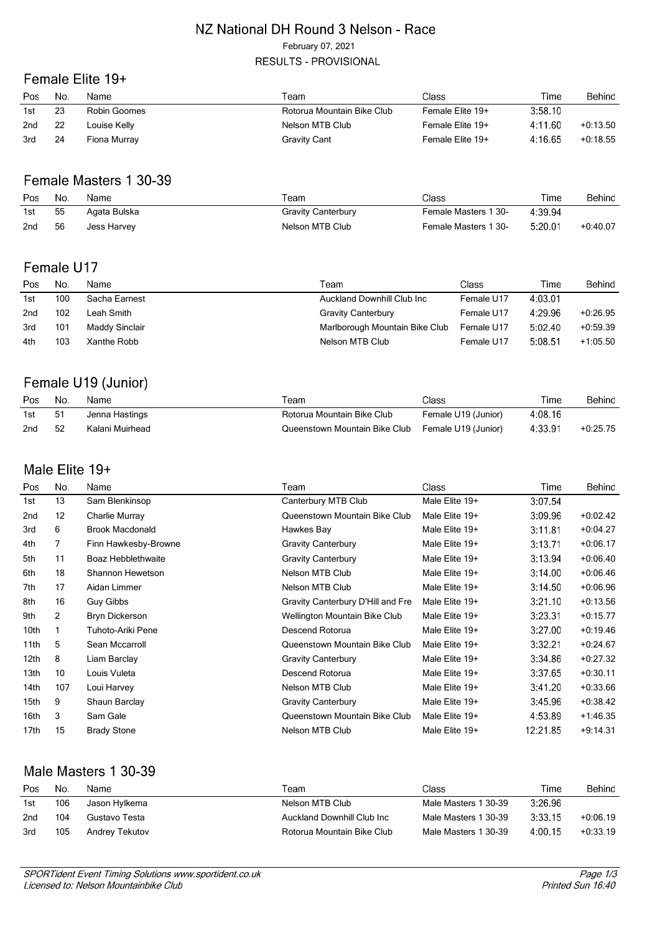#### NZ National DH Round 3 Nelson - Race February 07, 2021

# **RESULTS - PROVISIONAL**

## Female Elite 19+

| Pos             | No. | Name         | Геаm                       | Class            | Time    | Behind     |
|-----------------|-----|--------------|----------------------------|------------------|---------|------------|
| 1st             | 23  | Robin Goomes | Rotorua Mountain Bike Club | Female Elite 19+ | 3:58.10 |            |
| 2 <sub>nd</sub> | 22  | Louise Kelly | Nelson MTB Club            | Female Elite 19+ | 4:11.60 | $+0.13.50$ |
| 3rd             | 24  | Fiona Murray | Gravity Cant               | Female Elite 19+ | 4:16.65 | $+0.18.55$ |

### Female Masters 1 30-39

| Pos | No. | Name         | ⊺eam               | Class                | Time    | Behind     |
|-----|-----|--------------|--------------------|----------------------|---------|------------|
| 1st | 55  | Agata Bulska | Gravity Canterbury | Female Masters 1 30- | 4:39.94 |            |
| 2nd | 56  | Jess Harvey  | Nelson MTB Club    | Female Masters 1 30- | 5:20.01 | $+0.40.07$ |

## Female U17

| Pos | No. | Name           | Team                           | Class      | Time    | Behind     |
|-----|-----|----------------|--------------------------------|------------|---------|------------|
| 1st | 100 | Sacha Earnest  | Auckland Downhill Club Inc     | Female U17 | 4:03.01 |            |
| 2nd | 102 | Leah Smith     | <b>Gravity Canterbury</b>      | Female U17 | 4:29.96 | $+0.26.95$ |
| 3rd | 101 | Maddy Sinclair | Marlborough Mountain Bike Club | Female U17 | 5:02.40 | $+0.59.39$ |
| 4th | 103 | Xanthe Robb    | Nelson MTB Club                | Female U17 | 5:08.51 | $+1:05.50$ |

### Female U19 (Junior)

| Pos | No. | Name            | Team                                              | Class               | Time    | Behind     |
|-----|-----|-----------------|---------------------------------------------------|---------------------|---------|------------|
| 1st | -51 | Jenna Hastings  | Rotorua Mountain Bike Club                        | Female U19 (Junior) | 4:08.16 |            |
| 2nd | 52  | Kalani Muirhead | Queenstown Mountain Bike Club Female U19 (Junior) |                     | 4:33.91 | $+0.25.75$ |

### Male Elite 19+

| Pos              | No.               | Name                      | Team                              | <b>Class</b>   | Time     | Behind     |
|------------------|-------------------|---------------------------|-----------------------------------|----------------|----------|------------|
| 1st              | 13                | Sam Blenkinsop            | Canterbury MTB Club               | Male Elite 19+ | 3:07.54  |            |
| 2nd              | $12 \overline{ }$ | Charlie Murray            | Queenstown Mountain Bike Club     | Male Elite 19+ | 3:09.96  | $+0.02.42$ |
| 3rd              | 6                 | <b>Brook Macdonald</b>    | Hawkes Bay                        | Male Elite 19+ | 3:11.81  | $+0.04.27$ |
| 4th              | 7                 | Finn Hawkesby-Browne      | <b>Gravity Canterbury</b>         | Male Elite 19+ | 3:13.71  | $+0.06.17$ |
| 5th              | 11                | <b>Boaz Hebblethwaite</b> | <b>Gravity Canterbury</b>         | Male Elite 19+ | 3:13.94  | $+0.06.40$ |
| 6th              | 18                | Shannon Hewetson          | Nelson MTB Club                   | Male Elite 19+ | 3:14.00  | $+0.06.46$ |
| 7th              | 17                | Aidan Limmer              | Nelson MTB Club                   | Male Elite 19+ | 3:14.50  | $+0.06.96$ |
| 8th              | 16                | Guy Gibbs                 | Gravity Canterbury D'Hill and Fre | Male Elite 19+ | 3:21.10  | $+0.13.56$ |
| 9th              | $\overline{2}$    | Bryn Dickerson            | Wellington Mountain Bike Club     | Male Elite 19+ | 3:23.31  | $+0.15.77$ |
| 10th             |                   | Tuhoto-Ariki Pene         | Descend Rotorua                   | Male Elite 19+ | 3:27.00  | $+0.19.46$ |
| 11th             | 5                 | Sean Mccarroll            | Queenstown Mountain Bike Club     | Male Elite 19+ | 3:32.21  | $+0.24.67$ |
| 12 <sub>th</sub> | 8                 | Liam Barclay              | <b>Gravity Canterbury</b>         | Male Elite 19+ | 3:34.86  | $+0.27.32$ |
| 13 <sub>th</sub> | 10 <sup>10</sup>  | Louis Vuleta              | Descend Rotorua                   | Male Elite 19+ | 3:37.65  | $+0:30.11$ |
| 14th             | 107               | Loui Harvey               | Nelson MTB Club                   | Male Elite 19+ | 3:41.20  | $+0.33.66$ |
| 15th             | 9                 | Shaun Barclay             | <b>Gravity Canterbury</b>         | Male Elite 19+ | 3:45.96  | $+0.38.42$ |
| 16th             | 3                 | Sam Gale                  | Queenstown Mountain Bike Club     | Male Elite 19+ | 4:53.89  | $+1.46.35$ |
| 17th             | 15                | <b>Brady Stone</b>        | Nelson MTB Club                   | Male Elite 19+ | 12:21.85 | $+9:14.31$ |

## Male Masters 1 30-39

| Pos. | No. | Name.          | Team                        | Class                | Time    | Behind     |
|------|-----|----------------|-----------------------------|----------------------|---------|------------|
| 1st  | 106 | Jason Hylkema  | Nelson MTB Club             | Male Masters 1 30-39 | 3:26.96 |            |
| 2nd  | 104 | Gustavo Testa  | Auckland Downhill Club Inc. | Male Masters 1 30-39 | 3:33.15 | $+0.06.19$ |
| 3rd  | 105 | Andrey Tekutov | Rotorua Mountain Bike Club  | Male Masters 1 30-39 | 4:00.15 | $+0.33.19$ |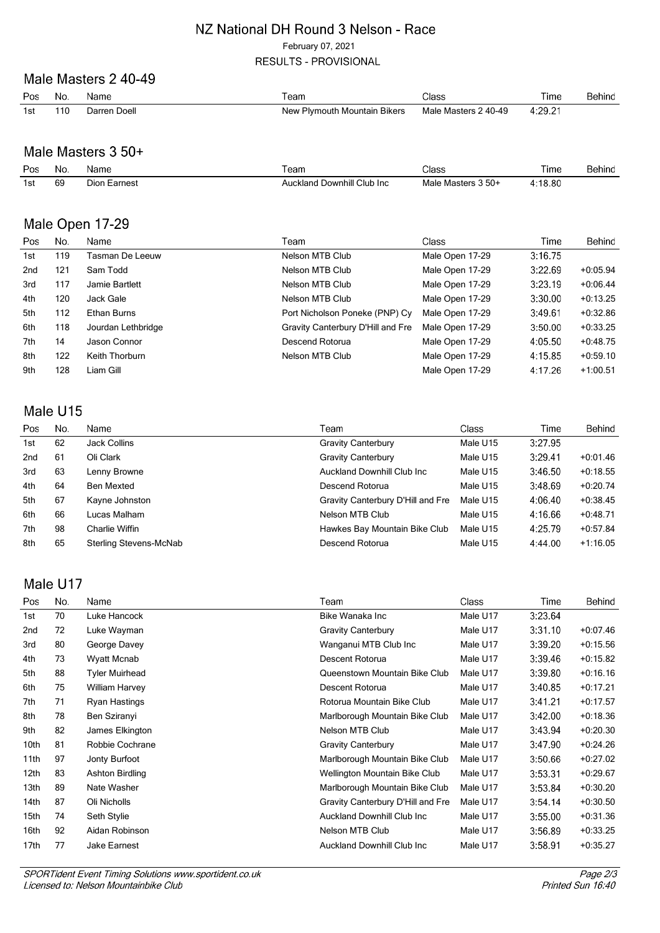#### NZ National DH Round 3 Nelson - Race

February 07, 2021

**RESULTS - PROVISIONAL** 

#### Male Masters 2 40-49

| Pos | No.   | Name         | $\tau$ eam                   | Class                | Time    | Behind |
|-----|-------|--------------|------------------------------|----------------------|---------|--------|
| 1st | 110 I | Darren Doell | New Plymouth Mountain Bikers | Male Masters 2 40-49 | 4:29.21 |        |

#### Male Masters 3 50+

| Pos | No. | Name         | leam                               | Class              | l ime   | Behind |
|-----|-----|--------------|------------------------------------|--------------------|---------|--------|
| 1st | 69  | Dion Earnest | <b>Auckland Downhill Club Inc.</b> | Male Masters 3 50+ | 4:18.80 |        |

#### Male Open 17-29

| Pos             | No. | Name               | Team                              | Class           | Time    | Behind     |
|-----------------|-----|--------------------|-----------------------------------|-----------------|---------|------------|
| 1st             | 119 | Tasman De Leeuw    | Nelson MTB Club                   | Male Open 17-29 | 3:16.75 |            |
| 2 <sub>nd</sub> | 121 | Sam Todd           | Nelson MTB Club                   | Male Open 17-29 | 3:22.69 | $+0.05.94$ |
| 3rd             | 117 | Jamie Bartlett     | Nelson MTB Club                   | Male Open 17-29 | 3:23.19 | $+0.06.44$ |
| 4th             | 120 | Jack Gale          | Nelson MTB Club                   | Male Open 17-29 | 3:30.00 | $+0:13.25$ |
| 5th             | 112 | Ethan Burns        | Port Nicholson Poneke (PNP) Cy    | Male Open 17-29 | 3:49.61 | $+0.32.86$ |
| 6th             | 118 | Jourdan Lethbridge | Gravity Canterbury D'Hill and Fre | Male Open 17-29 | 3:50.00 | $+0.33.25$ |
| 7th             | 14  | Jason Connor       | Descend Rotorua                   | Male Open 17-29 | 4:05.50 | $+0.48.75$ |
| 8th             | 122 | Keith Thorburn     | Nelson MTB Club                   | Male Open 17-29 | 4:15.85 | $+0.59.10$ |
| 9th             | 128 | Liam Gill          |                                   | Male Open 17-29 | 4:17.26 | $+1:00.51$ |

### Male U15

| Pos             | No. | Name                   | Team                               | Class    | Time    | Behind     |
|-----------------|-----|------------------------|------------------------------------|----------|---------|------------|
| 1st             | 62  | Jack Collins           | <b>Gravity Canterbury</b>          | Male U15 | 3:27.95 |            |
| 2 <sub>nd</sub> | 61  | Oli Clark              | <b>Gravity Canterbury</b>          | Male U15 | 3:29.41 | $+0.01.46$ |
| 3rd             | 63  | Lenny Browne           | <b>Auckland Downhill Club Inc.</b> | Male U15 | 3:46.50 | $+0.18.55$ |
| 4th             | 64  | Ben Mexted             | Descend Rotorua                    | Male U15 | 3:48.69 | $+0.20.74$ |
| 5th             | 67  | Kayne Johnston         | Gravity Canterbury D'Hill and Fre  | Male U15 | 4:06.40 | $+0.38.45$ |
| 6th             | 66  | Lucas Malham           | Nelson MTB Club                    | Male U15 | 4:16.66 | $+0.48.71$ |
| 7th             | 98  | Charlie Wiffin         | Hawkes Bay Mountain Bike Club      | Male U15 | 4:25.79 | $+0.57.84$ |
| 8th             | 65  | Sterling Stevens-McNab | Descend Rotorua                    | Male U15 | 4:44.00 | $+1:16.05$ |

## Male U17

| Pos  | No. | Name                  | Team                               | <b>Class</b> | Time    | Behind     |
|------|-----|-----------------------|------------------------------------|--------------|---------|------------|
| 1st  | 70  | Luke Hancock          | Bike Wanaka Inc                    | Male U17     | 3:23.64 |            |
| 2nd  | 72  | Luke Wayman           | <b>Gravity Canterbury</b>          | Male U17     | 3:31.10 | $+0.07.46$ |
| 3rd  | 80  | George Davey          | Wanganui MTB Club Inc              | Male U17     | 3:39.20 | $+0:15.56$ |
| 4th  | 73  | Wyatt Mcnab           | Descent Rotorua                    | Male U17     | 3:39.46 | $+0:15.82$ |
| 5th  | 88  | <b>Tyler Muirhead</b> | Queenstown Mountain Bike Club      | Male U17     | 3:39.80 | $+0:16.16$ |
| 6th  | 75  | William Harvey        | Descent Rotorua                    | Male U17     | 3:40.85 | $+0:17.21$ |
| 7th  | 71  | Ryan Hastings         | Rotorua Mountain Bike Club         | Male U17     | 3:41.21 | $+0:17.57$ |
| 8th  | 78  | Ben Sziranyi          | Marlborough Mountain Bike Club     | Male U17     | 3:42.00 | $+0:18.36$ |
| 9th  | 82  | James Elkington       | Nelson MTB Club                    | Male U17     | 3:43.94 | $+0:20.30$ |
| 10th | 81  | Robbie Cochrane       | <b>Gravity Canterbury</b>          | Male U17     | 3:47.90 | $+0:24.26$ |
| 11th | 97  | Jonty Burfoot         | Marlborough Mountain Bike Club     | Male U17     | 3:50.66 | $+0:27.02$ |
| 12th | 83  | Ashton Birdling       | Wellington Mountain Bike Club      | Male U17     | 3:53.31 | $+0.29.67$ |
| 13th | 89  | Nate Washer           | Marlborough Mountain Bike Club     | Male U17     | 3:53.84 | $+0:30.20$ |
| 14th | 87  | Oli Nicholls          | Gravity Canterbury D'Hill and Fre  | Male U17     | 3:54.14 | $+0:30.50$ |
| 15th | 74  | Seth Stylie           | <b>Auckland Downhill Club Inc.</b> | Male U17     | 3:55.00 | $+0.31.36$ |
| 16th | 92  | Aidan Robinson        | Nelson MTB Club                    | Male U17     | 3:56.89 | $+0:33.25$ |
| 17th | 77  | Jake Earnest          | <b>Auckland Downhill Club Inc.</b> | Male U17     | 3:58.91 | $+0.35.27$ |